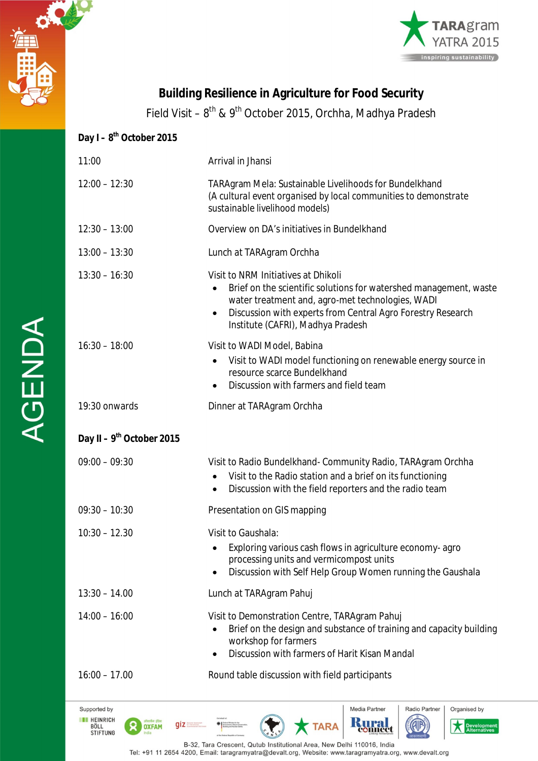



# **Building Resilience in Agriculture for Food Security**

Field Visit – 8<sup>th</sup> & 9<sup>th</sup> October 2015, Orchha, Madhya Pradesh

## **Day I – 8 th October 2015** 11:00 Arrival in Jhansi 12:00 – 12:30 TARAgram Mela: Sustainable Livelihoods for Bundelkhand *(A cultural event organised by local communities to demonstrate sustainable livelihood models)* 12:30 – 13:00 Overview on DA's initiatives in Bundelkhand 13:00 – 13:30 Lunch at TARAgram Orchha 13:30 – 16:30 Visit to NRM Initiatives at Dhikoli Brief on the scientific solutions for watershed management, waste water treatment and, agro-met technologies, WADI Discussion with experts from Central Agro Forestry Research Institute (CAFRI), Madhya Pradesh 16:30 – 18:00 Visit to WADI Model, Babina Visit to WADI model functioning on renewable energy source in resource scarce Bundelkhand Discussion with farmers and field team 19:30 onwards Dinner at TARAgram Orchha **Day II – 9 th October 2015** 09:00 – 09:30 Visit to Radio Bundelkhand- Community Radio, TARAgram Orchha Visit to the Radio station and a brief on its functioning Discussion with the field reporters and the radio team 09:30 – 10:30 Presentation on GIS mapping 10:30 – 12.30 Visit to Gaushala: Exploring various cash flows in agriculture economy- agro processing units and vermicompost units Discussion with Self Help Group Women running the Gaushala 13:30 – 14.00 Lunch at TARAgram Pahuj 14:00 – 16:00 Visit to Demonstration Centre, TARAgram Pahuj Brief on the design and substance of training and capacity building workshop for farmers Discussion with farmers of Harit Kisan Mandal 16:00 – 17.00 Round table discussion with field participantsMedia Partner Radio Partner Supported by Organised by

TARA

B-32. Tara Crescent, Outub Institutional Area, New Delhi 110016, India Tel: +91 11 2654 4200, Email: taragramyatra@devalt.org, Website: www.taragramyatra.org, www.devalt.org

**THE HEINRICH** 

BÖLL<br>STIFTUNG

 $\mathsf{d}$ iz

**OXFAM**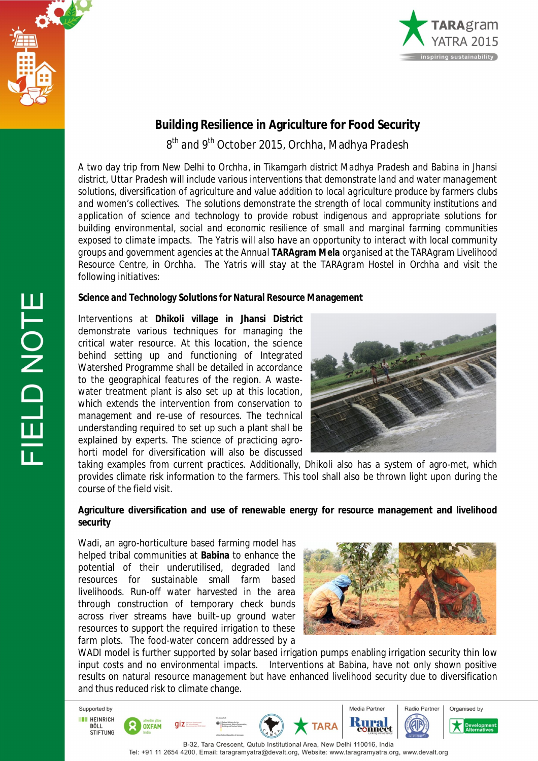



### **Building Resilience in Agriculture for Food Security**

8<sup>th</sup> and 9<sup>th</sup> October 2015, Orchha, Madhya Pradesh

*A two day trip from New Delhi to Orchha, in Tikamgarh district Madhya Pradesh and Babina in Jhansi district, Uttar Pradesh will include various interventions that demonstrate land and water management solutions, diversification of agriculture and value addition to local agriculture produce by farmers clubs and women's collectives. The solutions demonstrate the strength of local community institutions and application of science and technology to provide robust indigenous and appropriate solutions for building environmental, social and economic resilience of small and marginal farming communities exposed to climate impacts. The Yatris will also have an opportunity to interact with local community groups and government agencies at the Annual TARAgram Mela organised at the TARAgram Livelihood Resource Centre, in Orchha. The Yatris will stay at the TARAgram Hostel in Orchha and visit the following initiatives:*

#### **Science and Technology Solutions for Natural Resource Management**

Interventions at **Dhikoli village in Jhansi District** demonstrate various techniques for managing the critical water resource. At this location, the science behind setting up and functioning of Integrated Watershed Programme shall be detailed in accordance to the geographical features of the region. A wastewater treatment plant is also set up at this location, which extends the intervention from conservation to management and re-use of resources. The technical understanding required to set up such a plant shall be explained by experts. The science of practicing agrohorti model for diversification will also be discussed



taking examples from current practices. Additionally, Dhikoli also has a system of agro-met, which provides climate risk information to the farmers. This tool shall also be thrown light upon during the course of the field visit.

#### **Agriculture diversification and use of renewable energy for resource management and livelihood security**

Wadi, an agro-horticulture based farming model has helped tribal communities at **Babina** to enhance the potential of their underutilised, degraded land resources for sustainable small farm based livelihoods. Run-off water harvested in the area through construction of temporary check bunds across river streams have built–up ground water resources to support the required irrigation to these farm plots. The food-water concern addressed by a



WADI model is further supported by solar based irrigation pumps enabling irrigation security thin low input costs and no environmental impacts. Interventions at Babina, have not only shown positive results on natural resource management but have enhanced livelihood security due to diversification and thus reduced risk to climate change.